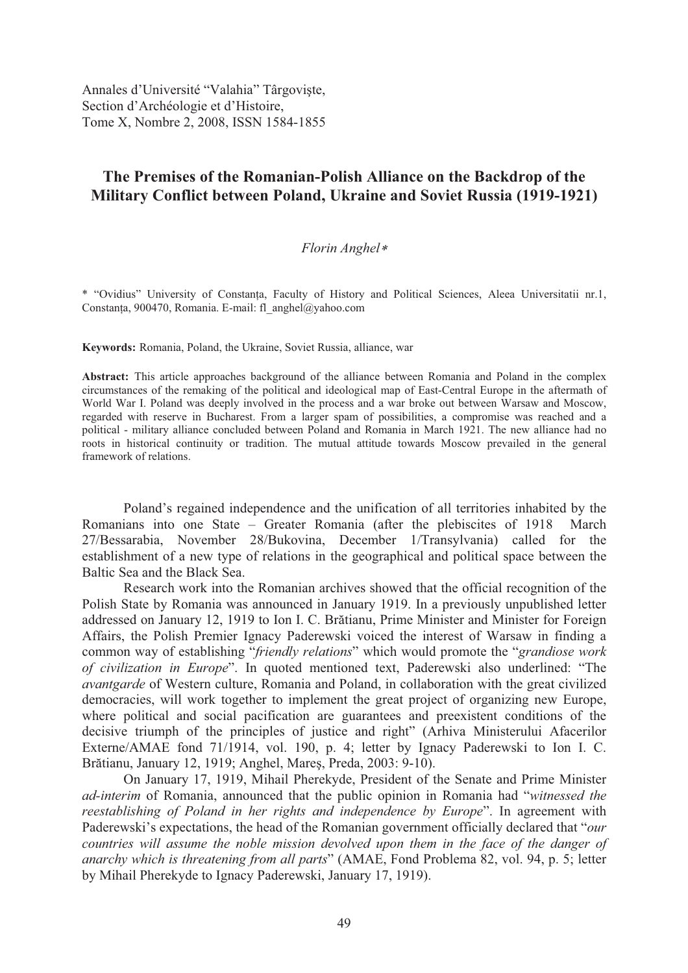Annales d'Université "Valahia" Târgoviște, Section d'Archéologie et d'Histoire, Tome X, Nombre 2, 2008, ISSN 1584-1855

# **The Premises of the Romanian-Polish Alliance on the Backdrop of the Military Conflict between Poland, Ukraine and Soviet Russia (1919-1921)**

## *Florin Anghel*

\* "Ovidius" University of Constanta, Faculty of History and Political Sciences, Aleea Universitatii nr.1, Constanța, 900470, Romania. E-mail: fl\_anghel@yahoo.com

**Keywords:** Romania, Poland, the Ukraine, Soviet Russia, alliance, war

**Abstract:** This article approaches background of the alliance between Romania and Poland in the complex circumstances of the remaking of the political and ideological map of East-Central Europe in the aftermath of World War I. Poland was deeply involved in the process and a war broke out between Warsaw and Moscow, regarded with reserve in Bucharest. From a larger spam of possibilities, a compromise was reached and a political - military alliance concluded between Poland and Romania in March 1921. The new alliance had no roots in historical continuity or tradition. The mutual attitude towards Moscow prevailed in the general framework of relations.

Poland's regained independence and the unification of all territories inhabited by the Romanians into one State – Greater Romania (after the plebiscites of 1918 March 27/Bessarabia, November 28/Bukovina, December 1/Transylvania) called for the establishment of a new type of relations in the geographical and political space between the Baltic Sea and the Black Sea.

Research work into the Romanian archives showed that the official recognition of the Polish State by Romania was announced in January 1919. In a previously unpublished letter addressed on January 12, 1919 to Ion I. C. Brătianu, Prime Minister and Minister for Foreign Affairs, the Polish Premier Ignacy Paderewski voiced the interest of Warsaw in finding a common way of establishing "*friendly relations*" which would promote the "*grandiose work of civilization in Europe*". In quoted mentioned text, Paderewski also underlined: "The *avantgarde* of Western culture, Romania and Poland, in collaboration with the great civilized democracies, will work together to implement the great project of organizing new Europe, where political and social pacification are guarantees and preexistent conditions of the decisive triumph of the principles of justice and right" (Arhiva Ministerului Afacerilor Externe/AMAE fond 71/1914, vol. 190, p. 4; letter by Ignacy Paderewski to Ion I. C. Brătianu, January 12, 1919; Anghel, Mareș, Preda, 2003: 9-10).

On January 17, 1919, Mihail Pherekyde, President of the Senate and Prime Minister *ad-interim* of Romania, announced that the public opinion in Romania had "*witnessed the reestablishing of Poland in her rights and independence by Europe*". In agreement with Paderewski's expectations, the head of the Romanian government officially declared that "*our countries will assume the noble mission devolved upon them in the face of the danger of anarchy which is threatening from all parts*" (AMAE, Fond Problema 82, vol. 94, p. 5; letter by Mihail Pherekyde to Ignacy Paderewski, January 17, 1919).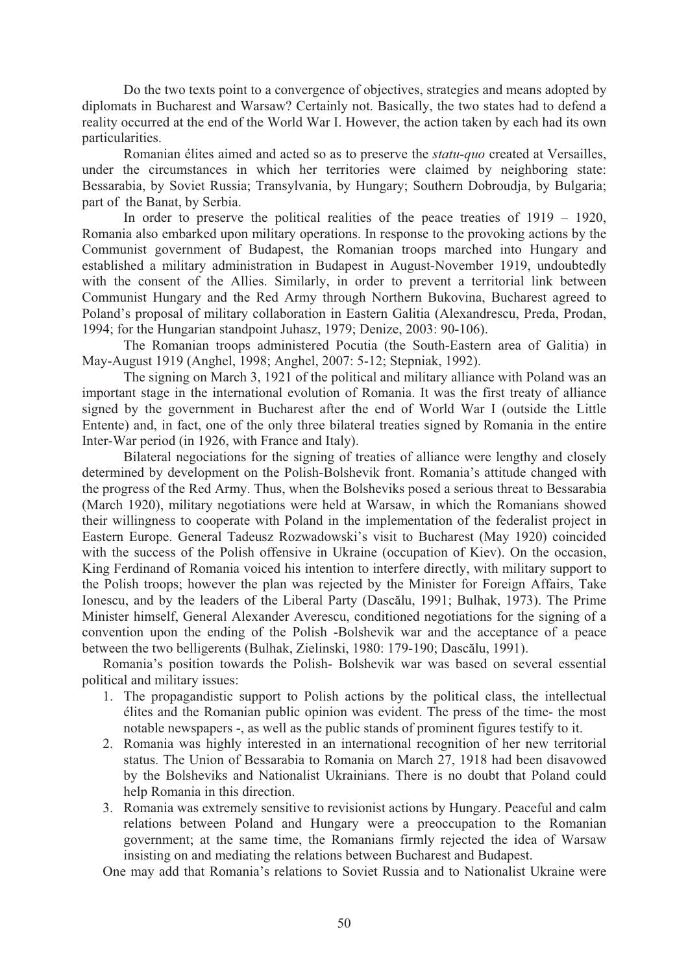Do the two texts point to a convergence of objectives, strategies and means adopted by diplomats in Bucharest and Warsaw? Certainly not. Basically, the two states had to defend a reality occurred at the end of the World War I. However, the action taken by each had its own particularities.

Romanian élites aimed and acted so as to preserve the *statu-quo* created at Versailles, under the circumstances in which her territories were claimed by neighboring state: Bessarabia, by Soviet Russia; Transylvania, by Hungary; Southern Dobroudja, by Bulgaria; part of the Banat, by Serbia.

In order to preserve the political realities of the peace treaties of 1919 – 1920, Romania also embarked upon military operations. In response to the provoking actions by the Communist government of Budapest, the Romanian troops marched into Hungary and established a military administration in Budapest in August-November 1919, undoubtedly with the consent of the Allies. Similarly, in order to prevent a territorial link between Communist Hungary and the Red Army through Northern Bukovina, Bucharest agreed to Poland's proposal of military collaboration in Eastern Galitia (Alexandrescu, Preda, Prodan, 1994; for the Hungarian standpoint Juhasz, 1979; Denize, 2003: 90-106).

The Romanian troops administered Pocutia (the South-Eastern area of Galitia) in May-August 1919 (Anghel, 1998; Anghel, 2007: 5-12; Stepniak, 1992).

The signing on March 3, 1921 of the political and military alliance with Poland was an important stage in the international evolution of Romania. It was the first treaty of alliance signed by the government in Bucharest after the end of World War I (outside the Little Entente) and, in fact, one of the only three bilateral treaties signed by Romania in the entire Inter-War period (in 1926, with France and Italy).

Bilateral negociations for the signing of treaties of alliance were lengthy and closely determined by development on the Polish-Bolshevik front. Romania's attitude changed with the progress of the Red Army. Thus, when the Bolsheviks posed a serious threat to Bessarabia (March 1920), military negotiations were held at Warsaw, in which the Romanians showed their willingness to cooperate with Poland in the implementation of the federalist project in Eastern Europe. General Tadeusz Rozwadowski's visit to Bucharest (May 1920) coincided with the success of the Polish offensive in Ukraine (occupation of Kiev). On the occasion, King Ferdinand of Romania voiced his intention to interfere directly, with military support to the Polish troops; however the plan was rejected by the Minister for Foreign Affairs, Take Ionescu, and by the leaders of the Liberal Party (Dascălu, 1991; Bulhak, 1973). The Prime Minister himself, General Alexander Averescu, conditioned negotiations for the signing of a convention upon the ending of the Polish -Bolshevik war and the acceptance of a peace between the two belligerents (Bulhak, Zielinski, 1980: 179-190; Dascălu, 1991).

Romania's position towards the Polish- Bolshevik war was based on several essential political and military issues:

- 1. The propagandistic support to Polish actions by the political class, the intellectual élites and the Romanian public opinion was evident. The press of the time- the most notable newspapers -, as well as the public stands of prominent figures testify to it.
- 2. Romania was highly interested in an international recognition of her new territorial status. The Union of Bessarabia to Romania on March 27, 1918 had been disavowed by the Bolsheviks and Nationalist Ukrainians. There is no doubt that Poland could help Romania in this direction.
- 3. Romania was extremely sensitive to revisionist actions by Hungary. Peaceful and calm relations between Poland and Hungary were a preoccupation to the Romanian government; at the same time, the Romanians firmly rejected the idea of Warsaw insisting on and mediating the relations between Bucharest and Budapest.

One may add that Romania's relations to Soviet Russia and to Nationalist Ukraine were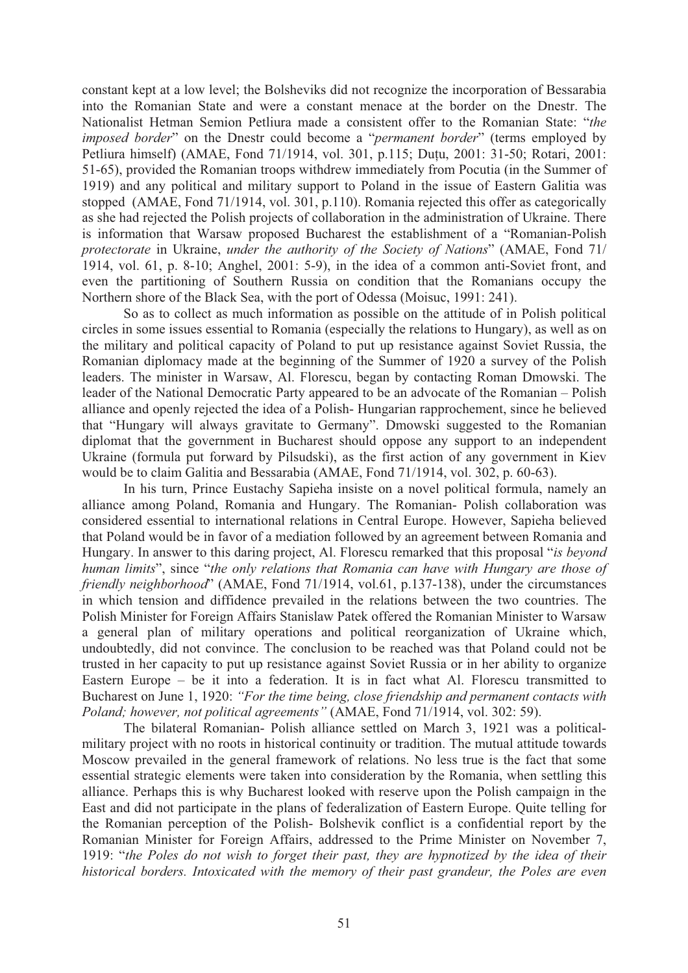constant kept at a low level; the Bolsheviks did not recognize the incorporation of Bessarabia into the Romanian State and were a constant menace at the border on the Dnestr. The Nationalist Hetman Semion Petliura made a consistent offer to the Romanian State: "*the imposed border*" on the Dnestr could become a "*permanent border*" (terms employed by Petliura himself) (AMAE, Fond 71/1914, vol. 301, p.115; Duțu, 2001: 31-50; Rotari, 2001: 51-65), provided the Romanian troops withdrew immediately from Pocutia (in the Summer of 1919) and any political and military support to Poland in the issue of Eastern Galitia was stopped (AMAE, Fond 71/1914, vol. 301, p.110). Romania rejected this offer as categorically as she had rejected the Polish projects of collaboration in the administration of Ukraine. There is information that Warsaw proposed Bucharest the establishment of a "Romanian-Polish *protectorate* in Ukraine, *under the authority of the Society of Nations*" (AMAE, Fond 71/ 1914, vol. 61, p. 8-10; Anghel, 2001: 5-9), in the idea of a common anti-Soviet front, and even the partitioning of Southern Russia on condition that the Romanians occupy the Northern shore of the Black Sea, with the port of Odessa (Moisuc, 1991: 241).

So as to collect as much information as possible on the attitude of in Polish political circles in some issues essential to Romania (especially the relations to Hungary), as well as on the military and political capacity of Poland to put up resistance against Soviet Russia, the Romanian diplomacy made at the beginning of the Summer of 1920 a survey of the Polish leaders. The minister in Warsaw, Al. Florescu, began by contacting Roman Dmowski. The leader of the National Democratic Party appeared to be an advocate of the Romanian – Polish alliance and openly rejected the idea of a Polish- Hungarian rapprochement, since he believed that "Hungary will always gravitate to Germany". Dmowski suggested to the Romanian diplomat that the government in Bucharest should oppose any support to an independent Ukraine (formula put forward by Pilsudski), as the first action of any government in Kiev would be to claim Galitia and Bessarabia (AMAE, Fond 71/1914, vol. 302, p. 60-63).

In his turn, Prince Eustachy Sapieha insiste on a novel political formula, namely an alliance among Poland, Romania and Hungary. The Romanian- Polish collaboration was considered essential to international relations in Central Europe. However, Sapieha believed that Poland would be in favor of a mediation followed by an agreement between Romania and Hungary. In answer to this daring project, Al. Florescu remarked that this proposal "*is beyond human limits*", since "*the only relations that Romania can have with Hungary are those of friendly neighborhood*" (AMAE, Fond 71/1914, vol.61, p.137-138), under the circumstances in which tension and diffidence prevailed in the relations between the two countries. The Polish Minister for Foreign Affairs Stanislaw Patek offered the Romanian Minister to Warsaw a general plan of military operations and political reorganization of Ukraine which, undoubtedly, did not convince. The conclusion to be reached was that Poland could not be trusted in her capacity to put up resistance against Soviet Russia or in her ability to organize Eastern Europe – be it into a federation. It is in fact what Al. Florescu transmitted to Bucharest on June 1, 1920: *"For the time being, close friendship and permanent contacts with Poland; however, not political agreements"* (AMAE, Fond 71/1914, vol. 302: 59).

The bilateral Romanian- Polish alliance settled on March 3, 1921 was a politicalmilitary project with no roots in historical continuity or tradition. The mutual attitude towards Moscow prevailed in the general framework of relations. No less true is the fact that some essential strategic elements were taken into consideration by the Romania, when settling this alliance. Perhaps this is why Bucharest looked with reserve upon the Polish campaign in the East and did not participate in the plans of federalization of Eastern Europe. Quite telling for the Romanian perception of the Polish- Bolshevik conflict is a confidential report by the Romanian Minister for Foreign Affairs, addressed to the Prime Minister on November 7, 1919: "*the Poles do not wish to forget their past, they are hypnotized by the idea of their historical borders. Intoxicated with the memory of their past grandeur, the Poles are even*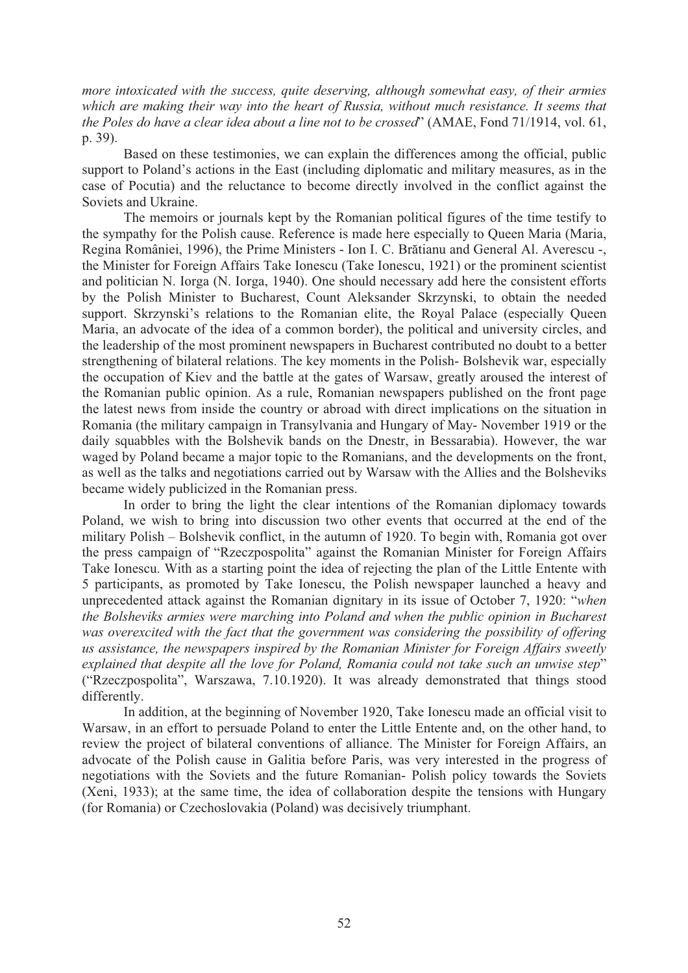*more intoxicated with the success, quite deserving, although somewhat easy, of their armies*  which are making their way into the heart of Russia, without much resistance. It seems that *the Poles do have a clear idea about a line not to be crossed*" (AMAE, Fond 71/1914, vol. 61, p. 39).

Based on these testimonies, we can explain the differences among the official, public support to Poland's actions in the East (including diplomatic and military measures, as in the case of Pocutia) and the reluctance to become directly involved in the conflict against the Soviets and Ukraine.

The memoirs or journals kept by the Romanian political figures of the time testify to the sympathy for the Polish cause. Reference is made here especially to Queen Maria (Maria, Regina României, 1996), the Prime Ministers - Ion I. C. Brătianu and General Al. Averescu -, the Minister for Foreign Affairs Take Ionescu (Take Ionescu, 1921) or the prominent scientist and politician N. Iorga (N. Iorga, 1940). One should necessary add here the consistent efforts by the Polish Minister to Bucharest, Count Aleksander Skrzynski, to obtain the needed support. Skrzynski's relations to the Romanian elite, the Royal Palace (especially Queen Maria, an advocate of the idea of a common border), the political and university circles, and the leadership of the most prominent newspapers in Bucharest contributed no doubt to a better strengthening of bilateral relations. The key moments in the Polish- Bolshevik war, especially the occupation of Kiev and the battle at the gates of Warsaw, greatly aroused the interest of the Romanian public opinion. As a rule, Romanian newspapers published on the front page the latest news from inside the country or abroad with direct implications on the situation in Romania (the military campaign in Transylvania and Hungary of May- November 1919 or the daily squabbles with the Bolshevik bands on the Dnestr, in Bessarabia). However, the war waged by Poland became a major topic to the Romanians, and the developments on the front, as well as the talks and negotiations carried out by Warsaw with the Allies and the Bolsheviks became widely publicized in the Romanian press.

In order to bring the light the clear intentions of the Romanian diplomacy towards Poland, we wish to bring into discussion two other events that occurred at the end of the military Polish – Bolshevik conflict, in the autumn of 1920. To begin with, Romania got over the press campaign of "Rzeczpospolita" against the Romanian Minister for Foreign Affairs Take Ionescu. With as a starting point the idea of rejecting the plan of the Little Entente with 5 participants, as promoted by Take Ionescu, the Polish newspaper launched a heavy and unprecedented attack against the Romanian dignitary in its issue of October 7, 1920: "*when the Bolsheviks armies were marching into Poland and when the public opinion in Bucharest was overexcited with the fact that the government was considering the possibility of offering us assistance, the newspapers inspired by the Romanian Minister for Foreign Affairs sweetly explained that despite all the love for Poland, Romania could not take such an unwise step*" ("Rzeczpospolita", Warszawa, 7.10.1920). It was already demonstrated that things stood differently.

In addition, at the beginning of November 1920, Take Ionescu made an official visit to Warsaw, in an effort to persuade Poland to enter the Little Entente and, on the other hand, to review the project of bilateral conventions of alliance. The Minister for Foreign Affairs, an advocate of the Polish cause in Galitia before Paris, was very interested in the progress of negotiations with the Soviets and the future Romanian- Polish policy towards the Soviets (Xeni, 1933); at the same time, the idea of collaboration despite the tensions with Hungary (for Romania) or Czechoslovakia (Poland) was decisively triumphant.